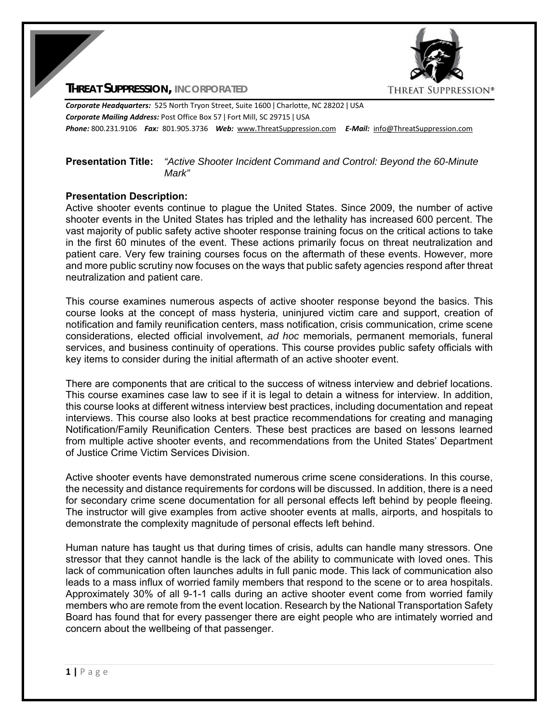

**THREAT SUPPRESSION, INCORPORATED**

*Corporate Headquarters:* 525 North Tryon Street, Suite 1600 ǀ Charlotte, NC 28202 ǀ USA *Corporate Mailing Address:* Post Office Box 57 ǀ Fort Mill, SC 29715 ǀ USA *Phone:* 800.231.9106  *Fax:* 801.905.3736 *Web:* www.ThreatSuppression.com *E‐Mail:*  info@ThreatSuppression.com

### **Presentation Title:** *"Active Shooter Incident Command and Control: Beyond the 60-Minute Mark"*

#### **Presentation Description:**

Active shooter events continue to plague the United States. Since 2009, the number of active shooter events in the United States has tripled and the lethality has increased 600 percent. The vast majority of public safety active shooter response training focus on the critical actions to take in the first 60 minutes of the event. These actions primarily focus on threat neutralization and patient care. Very few training courses focus on the aftermath of these events. However, more and more public scrutiny now focuses on the ways that public safety agencies respond after threat neutralization and patient care.

This course examines numerous aspects of active shooter response beyond the basics. This course looks at the concept of mass hysteria, uninjured victim care and support, creation of notification and family reunification centers, mass notification, crisis communication, crime scene considerations, elected official involvement, *ad hoc* memorials, permanent memorials, funeral services, and business continuity of operations. This course provides public safety officials with key items to consider during the initial aftermath of an active shooter event.

There are components that are critical to the success of witness interview and debrief locations. This course examines case law to see if it is legal to detain a witness for interview. In addition, this course looks at different witness interview best practices, including documentation and repeat interviews. This course also looks at best practice recommendations for creating and managing Notification/Family Reunification Centers. These best practices are based on lessons learned from multiple active shooter events, and recommendations from the United States' Department of Justice Crime Victim Services Division.

Active shooter events have demonstrated numerous crime scene considerations. In this course, the necessity and distance requirements for cordons will be discussed. In addition, there is a need for secondary crime scene documentation for all personal effects left behind by people fleeing. The instructor will give examples from active shooter events at malls, airports, and hospitals to demonstrate the complexity magnitude of personal effects left behind.

Human nature has taught us that during times of crisis, adults can handle many stressors. One stressor that they cannot handle is the lack of the ability to communicate with loved ones. This lack of communication often launches adults in full panic mode. This lack of communication also leads to a mass influx of worried family members that respond to the scene or to area hospitals. Approximately 30% of all 9-1-1 calls during an active shooter event come from worried family members who are remote from the event location. Research by the National Transportation Safety Board has found that for every passenger there are eight people who are intimately worried and concern about the wellbeing of that passenger.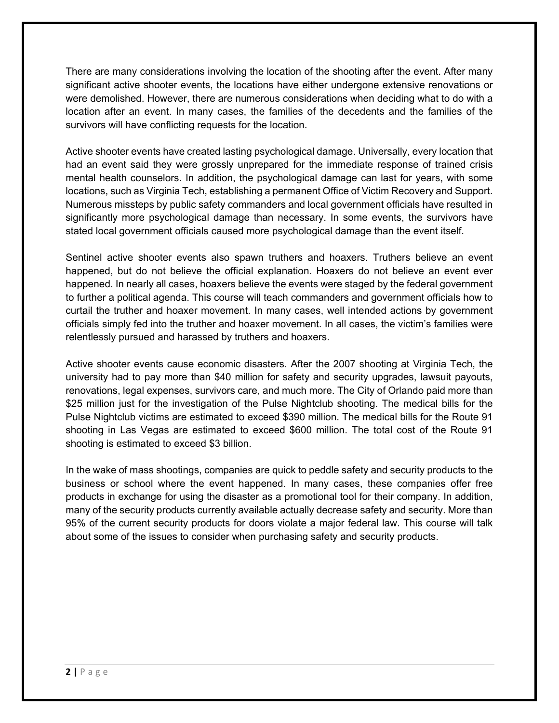There are many considerations involving the location of the shooting after the event. After many significant active shooter events, the locations have either undergone extensive renovations or were demolished. However, there are numerous considerations when deciding what to do with a location after an event. In many cases, the families of the decedents and the families of the survivors will have conflicting requests for the location.

Active shooter events have created lasting psychological damage. Universally, every location that had an event said they were grossly unprepared for the immediate response of trained crisis mental health counselors. In addition, the psychological damage can last for years, with some locations, such as Virginia Tech, establishing a permanent Office of Victim Recovery and Support. Numerous missteps by public safety commanders and local government officials have resulted in significantly more psychological damage than necessary. In some events, the survivors have stated local government officials caused more psychological damage than the event itself.

Sentinel active shooter events also spawn truthers and hoaxers. Truthers believe an event happened, but do not believe the official explanation. Hoaxers do not believe an event ever happened. In nearly all cases, hoaxers believe the events were staged by the federal government to further a political agenda. This course will teach commanders and government officials how to curtail the truther and hoaxer movement. In many cases, well intended actions by government officials simply fed into the truther and hoaxer movement. In all cases, the victim's families were relentlessly pursued and harassed by truthers and hoaxers.

Active shooter events cause economic disasters. After the 2007 shooting at Virginia Tech, the university had to pay more than \$40 million for safety and security upgrades, lawsuit payouts, renovations, legal expenses, survivors care, and much more. The City of Orlando paid more than \$25 million just for the investigation of the Pulse Nightclub shooting. The medical bills for the Pulse Nightclub victims are estimated to exceed \$390 million. The medical bills for the Route 91 shooting in Las Vegas are estimated to exceed \$600 million. The total cost of the Route 91 shooting is estimated to exceed \$3 billion.

In the wake of mass shootings, companies are quick to peddle safety and security products to the business or school where the event happened. In many cases, these companies offer free products in exchange for using the disaster as a promotional tool for their company. In addition, many of the security products currently available actually decrease safety and security. More than 95% of the current security products for doors violate a major federal law. This course will talk about some of the issues to consider when purchasing safety and security products.